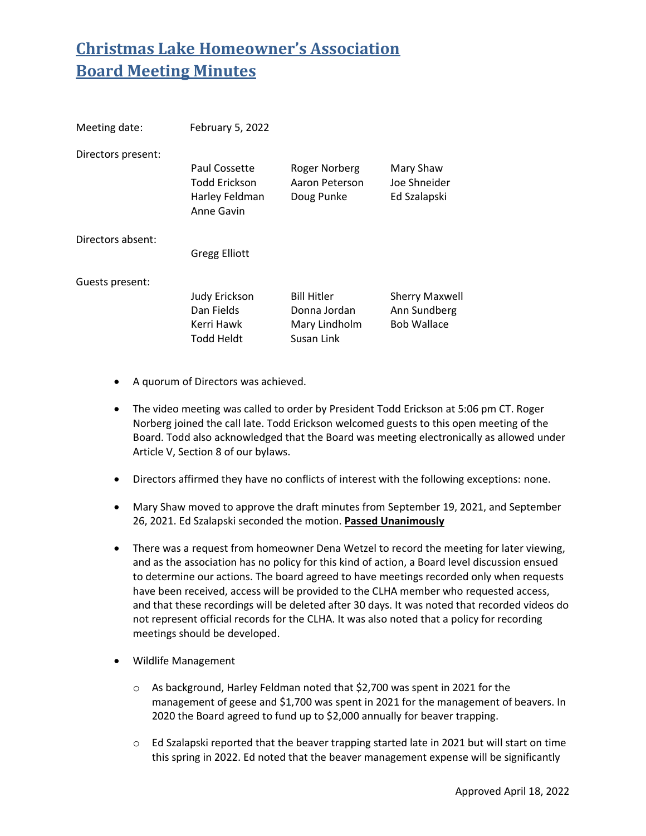| Meeting date:      | February 5, 2022                                                      |                                                                   |                                                             |
|--------------------|-----------------------------------------------------------------------|-------------------------------------------------------------------|-------------------------------------------------------------|
| Directors present: | Paul Cossette<br><b>Todd Erickson</b><br>Harley Feldman<br>Anne Gavin | Roger Norberg<br>Aaron Peterson<br>Doug Punke                     | Mary Shaw<br>Joe Shneider<br>Ed Szalapski                   |
| Directors absent:  | <b>Gregg Elliott</b>                                                  |                                                                   |                                                             |
| Guests present:    | <b>Judy Erickson</b><br>Dan Fields<br>Kerri Hawk<br>Todd Heldt        | <b>Bill Hitler</b><br>Donna Jordan<br>Mary Lindholm<br>Susan Link | <b>Sherry Maxwell</b><br>Ann Sundberg<br><b>Bob Wallace</b> |

- A quorum of Directors was achieved.
- The video meeting was called to order by President Todd Erickson at 5:06 pm CT. Roger Norberg joined the call late. Todd Erickson welcomed guests to this open meeting of the Board. Todd also acknowledged that the Board was meeting electronically as allowed under Article V, Section 8 of our bylaws.
- Directors affirmed they have no conflicts of interest with the following exceptions: none.
- Mary Shaw moved to approve the draft minutes from September 19, 2021, and September 26, 2021. Ed Szalapski seconded the motion. **Passed Unanimously**
- There was a request from homeowner Dena Wetzel to record the meeting for later viewing, and as the association has no policy for this kind of action, a Board level discussion ensued to determine our actions. The board agreed to have meetings recorded only when requests have been received, access will be provided to the CLHA member who requested access, and that these recordings will be deleted after 30 days. It was noted that recorded videos do not represent official records for the CLHA. It was also noted that a policy for recording meetings should be developed.
- Wildlife Management
	- o As background, Harley Feldman noted that \$2,700 was spent in 2021 for the management of geese and \$1,700 was spent in 2021 for the management of beavers. In 2020 the Board agreed to fund up to \$2,000 annually for beaver trapping.
	- $\circ$  Ed Szalapski reported that the beaver trapping started late in 2021 but will start on time this spring in 2022. Ed noted that the beaver management expense will be significantly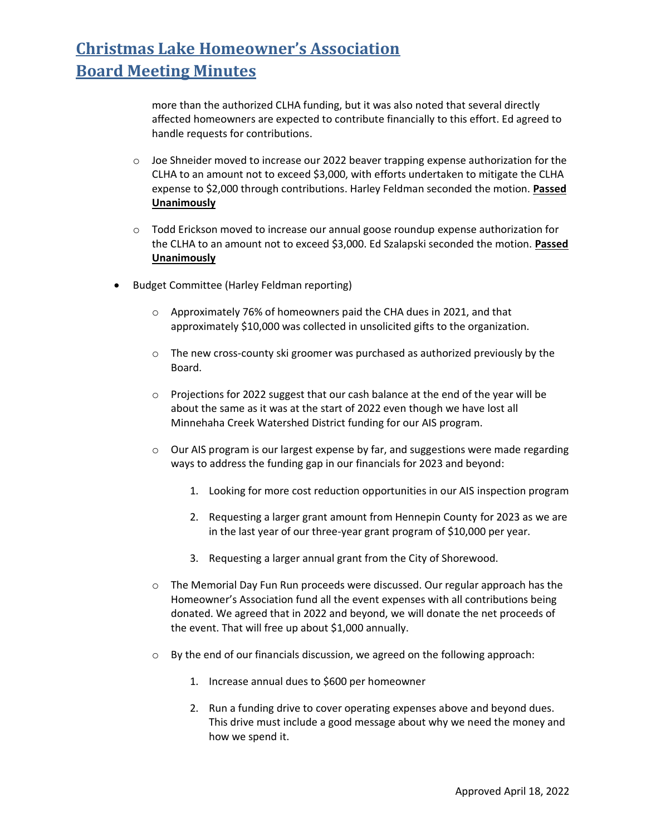more than the authorized CLHA funding, but it was also noted that several directly affected homeowners are expected to contribute financially to this effort. Ed agreed to handle requests for contributions.

- $\circ$  Joe Shneider moved to increase our 2022 beaver trapping expense authorization for the CLHA to an amount not to exceed \$3,000, with efforts undertaken to mitigate the CLHA expense to \$2,000 through contributions. Harley Feldman seconded the motion. **Passed Unanimously**
- $\circ$  Todd Erickson moved to increase our annual goose roundup expense authorization for the CLHA to an amount not to exceed \$3,000. Ed Szalapski seconded the motion. **Passed Unanimously**
- Budget Committee (Harley Feldman reporting)
	- o Approximately 76% of homeowners paid the CHA dues in 2021, and that approximately \$10,000 was collected in unsolicited gifts to the organization.
	- o The new cross-county ski groomer was purchased as authorized previously by the Board.
	- o Projections for 2022 suggest that our cash balance at the end of the year will be about the same as it was at the start of 2022 even though we have lost all Minnehaha Creek Watershed District funding for our AIS program.
	- $\circ$  Our AIS program is our largest expense by far, and suggestions were made regarding ways to address the funding gap in our financials for 2023 and beyond:
		- 1. Looking for more cost reduction opportunities in our AIS inspection program
		- 2. Requesting a larger grant amount from Hennepin County for 2023 as we are in the last year of our three-year grant program of \$10,000 per year.
		- 3. Requesting a larger annual grant from the City of Shorewood.
	- o The Memorial Day Fun Run proceeds were discussed. Our regular approach has the Homeowner's Association fund all the event expenses with all contributions being donated. We agreed that in 2022 and beyond, we will donate the net proceeds of the event. That will free up about \$1,000 annually.
	- o By the end of our financials discussion, we agreed on the following approach:
		- 1. Increase annual dues to \$600 per homeowner
		- 2. Run a funding drive to cover operating expenses above and beyond dues. This drive must include a good message about why we need the money and how we spend it.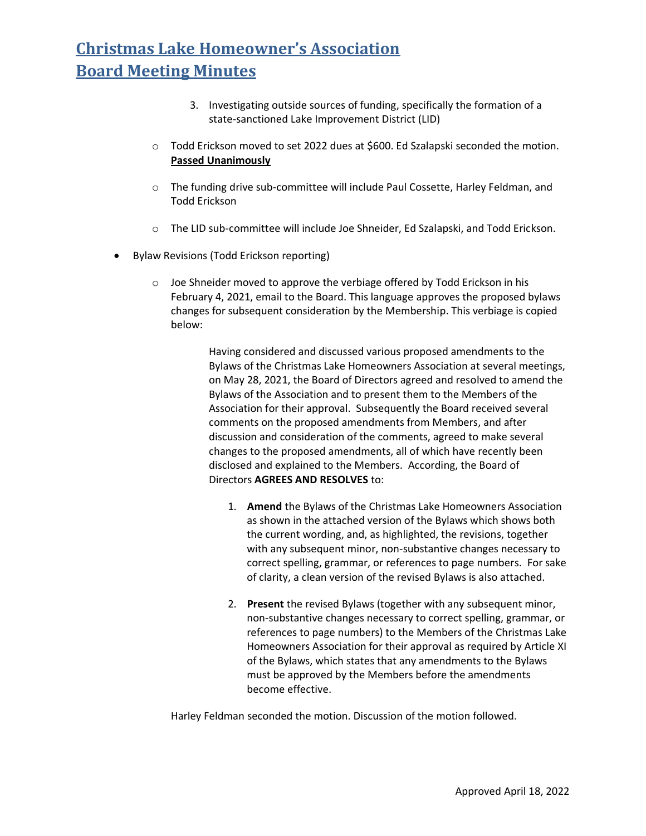- 3. Investigating outside sources of funding, specifically the formation of a state-sanctioned Lake Improvement District (LID)
- $\circ$  Todd Erickson moved to set 2022 dues at \$600. Ed Szalapski seconded the motion. **Passed Unanimously**
- o The funding drive sub-committee will include Paul Cossette, Harley Feldman, and Todd Erickson
- o The LID sub-committee will include Joe Shneider, Ed Szalapski, and Todd Erickson.
- Bylaw Revisions (Todd Erickson reporting)
	- $\circ$  Joe Shneider moved to approve the verbiage offered by Todd Erickson in his February 4, 2021, email to the Board. This language approves the proposed bylaws changes for subsequent consideration by the Membership. This verbiage is copied below:

Having considered and discussed various proposed amendments to the Bylaws of the Christmas Lake Homeowners Association at several meetings, on May 28, 2021, the Board of Directors agreed and resolved to amend the Bylaws of the Association and to present them to the Members of the Association for their approval. Subsequently the Board received several comments on the proposed amendments from Members, and after discussion and consideration of the comments, agreed to make several changes to the proposed amendments, all of which have recently been disclosed and explained to the Members. According, the Board of Directors **AGREES AND RESOLVES** to:

- 1. **Amend** the Bylaws of the Christmas Lake Homeowners Association as shown in the attached version of the Bylaws which shows both the current wording, and, as highlighted, the revisions, together with any subsequent minor, non-substantive changes necessary to correct spelling, grammar, or references to page numbers. For sake of clarity, a clean version of the revised Bylaws is also attached.
- 2. **Present** the revised Bylaws (together with any subsequent minor, non-substantive changes necessary to correct spelling, grammar, or references to page numbers) to the Members of the Christmas Lake Homeowners Association for their approval as required by Article XI of the Bylaws, which states that any amendments to the Bylaws must be approved by the Members before the amendments become effective.

Harley Feldman seconded the motion. Discussion of the motion followed.